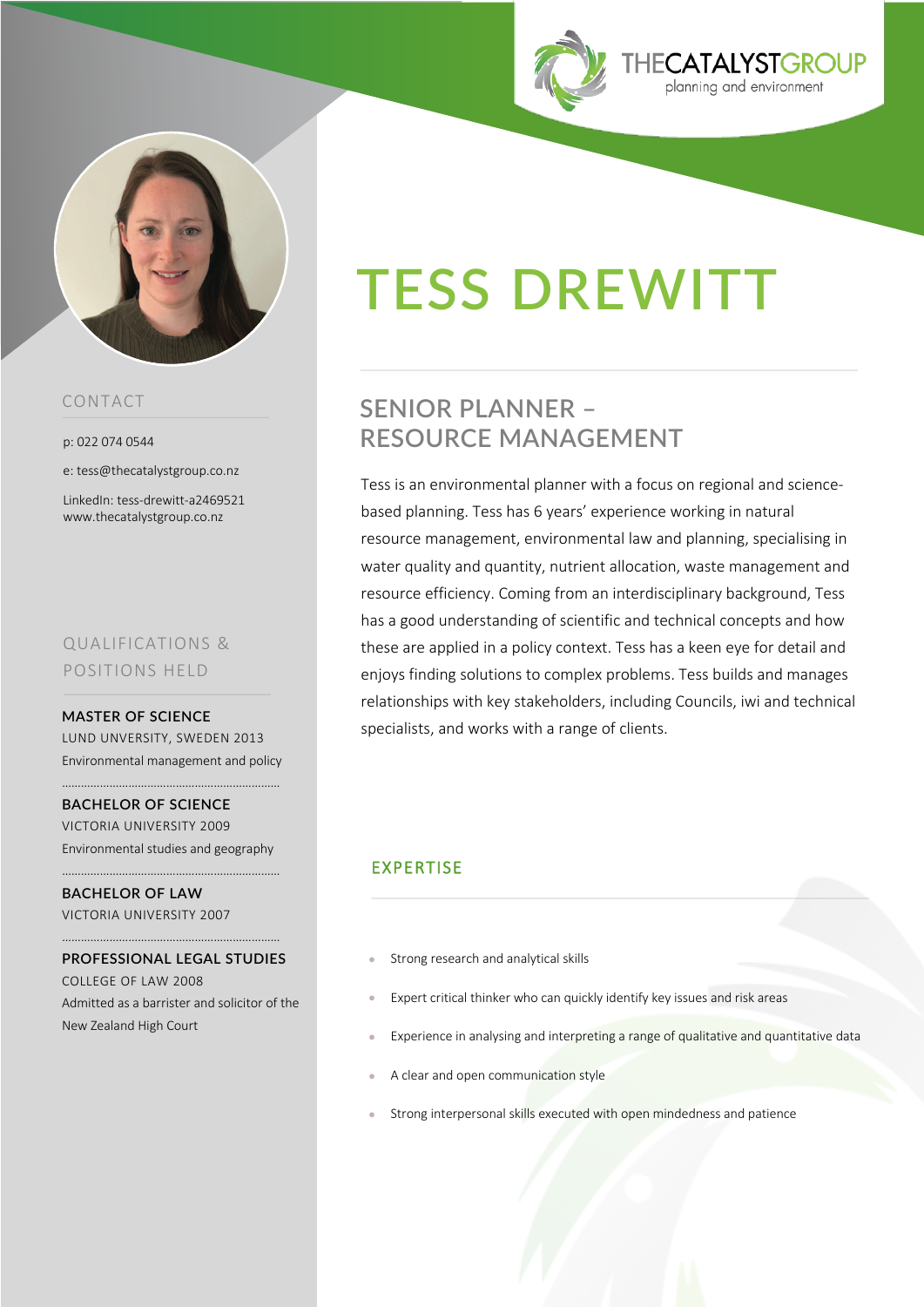



## CONTACT

p: 022 074 0544

e: tess@thecatalystgroup.co.nz

LinkedIn: tess-drewitt-a2469521 www.thecatalystgroup.co.nz

# QUALIFICATIONS & POSITIONS HELD

#### **MASTER OF SCIENCE**

LUND UNVERSITY, SWEDEN 2013 Environmental management and policy

……………………………………………………………

**BACHELOR OF SCIENCE**  VICTORIA UNIVERSITY 2009 Environmental studies and geography

……………………………………………………………

**BACHELOR OF LAW** VICTORIA UNIVERSITY 2007

**PROFESSIONAL LEGAL STUDIES**  COLLEGE OF LAW 2008 Admitted as a barrister and solicitor of the New Zealand High Court

……………………………………………………………

# **TESS DREWITT**

# **SENIOR PLANNER – RESOURCE MANAGEMENT**

Tess is an environmental planner with a focus on regional and sciencebased planning. Tess has 6 years' experience working in natural resource management, environmental law and planning, specialising in water quality and quantity, nutrient allocation, waste management and resource efficiency. Coming from an interdisciplinary background, Tess has a good understanding of scientific and technical concepts and how these are applied in a policy context. Tess has a keen eye for detail and enjoys finding solutions to complex problems. Tess builds and manages relationships with key stakeholders, including Councils, iwi and technical specialists, and works with a range of clients.

# EXPERTISE

- Strong research and analytical skills
- Expert critical thinker who can quickly identify key issues and risk areas
- Experience in analysing and interpreting a range of qualitative and quantitative data
- A clear and open communication style
- Strong interpersonal skills executed with open mindedness and patience